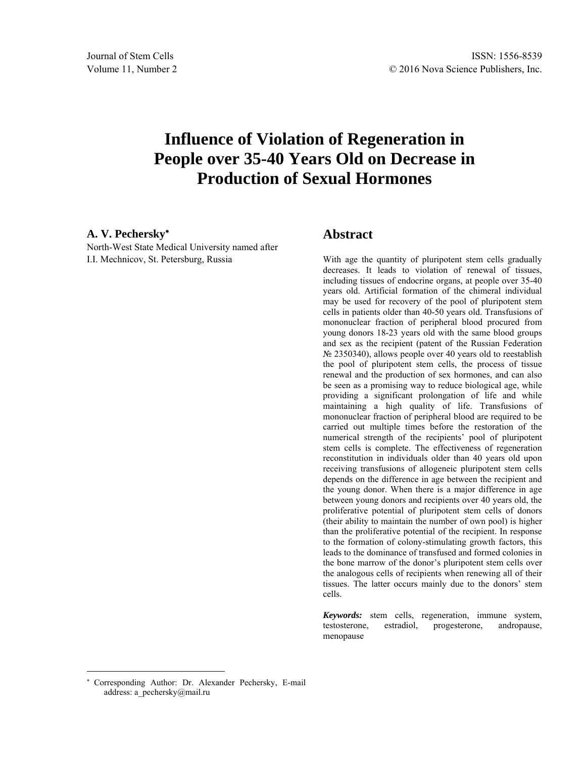# **Influence of Violation of Regeneration in People over 35-40 Years Old on Decrease in Production of Sexual Hormones**

#### **A. V. Pechersky**

North-West State Medical University named after I.I. Mechnicov, St. Petersburg, Russia

#### **Abstract**

With age the quantity of pluripotent stem cells gradually decreases. It leads to violation of renewal of tissues, including tissues of endocrine organs, at people over 35-40 years old. Artificial formation of the chimeral individual may be used for recovery of the pool of pluripotent stem cells in patients older than 40-50 years old. Transfusions of mononuclear fraction of peripheral blood procured from young donors 18-23 years old with the same blood groups and sex as the recipient (patent of the Russian Federation № 2350340), allows people over 40 years old to reestablish the pool of pluripotent stem cells, the process of tissue renewal and the production of sex hormones, and can also be seen as a promising way to reduce biological age, while providing a significant prolongation of life and while maintaining a high quality of life. Transfusions of mononuclear fraction of peripheral blood are required to be carried out multiple times before the restoration of the numerical strength of the recipients' pool of pluripotent stem cells is complete. The effectiveness of regeneration reconstitution in individuals older than 40 years old upon receiving transfusions of allogeneic pluripotent stem cells depends on the difference in age between the recipient and the young donor. When there is a major difference in age between young donors and recipients over 40 years old, the proliferative potential of pluripotent stem cells of donors (their ability to maintain the number of own pool) is higher than the proliferative potential of the recipient. In response to the formation of colony-stimulating growth factors, this leads to the dominance of transfused and formed colonies in the bone marrow of the donor's pluripotent stem cells over the analogous cells of recipients when renewing all of their tissues. The latter occurs mainly due to the donors' stem cells.

*Keywords:* stem cells, regeneration, immune system, testosterone, estradiol, progesterone, andropause, menopause

 $\overline{a}$ 

Corresponding Author: Dr. Alexander Pechersky, E-mail address: a\_pechersky@mail.ru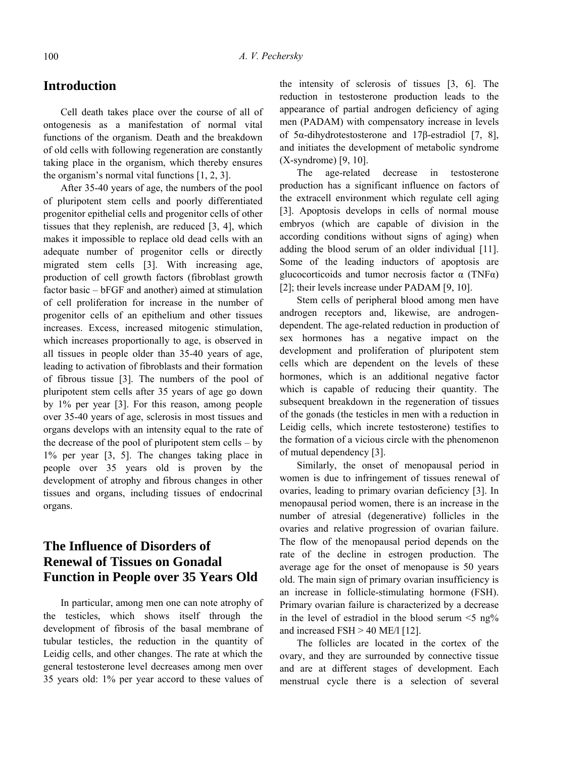### **Introduction**

Cell death takes place over the course of all of ontogenesis as a manifestation of normal vital functions of the organism. Death and the breakdown of old cells with following regeneration are constantly taking place in the organism, which thereby ensures the organism's normal vital functions [1, 2, 3].

After 35-40 years of age, the numbers of the pool of pluripotent stem cells and poorly differentiated progenitor epithelial cells and progenitor cells of other tissues that they replenish, are reduced [3, 4], which makes it impossible to replace old dead cells with an adequate number of progenitor cells or directly migrated stem cells [3]. With increasing age, production of cell growth factors (fibroblast growth factor basic – bFGF and another) aimed at stimulation of cell proliferation for increase in the number of progenitor cells of an epithelium and other tissues increases. Excess, increased mitogenic stimulation, which increases proportionally to age, is observed in all tissues in people older than 35-40 years of age, leading to activation of fibroblasts and their formation of fibrous tissue [3]. The numbers of the pool of pluripotent stem cells after 35 years of age go down by 1% per year [3]. For this reason, among people over 35-40 years of age, sclerosis in most tissues and organs develops with an intensity equal to the rate of the decrease of the pool of pluripotent stem cells – by 1% per year [3, 5]. The changes taking place in people over 35 years old is proven by the development of atrophy and fibrous changes in other tissues and organs, including tissues of endocrinal organs.

## **The Influence of Disorders of Renewal of Tissues on Gonadal Function in People over 35 Years Old**

In particular, among men one can note atrophy of the testicles, which shows itself through the development of fibrosis of the basal membrane of tubular testicles, the reduction in the quantity of Leidig cells, and other changes. The rate at which the general testosterone level decreases among men over 35 years old: 1% per year accord to these values of the intensity of sclerosis of tissues [3, 6]. The reduction in testosterone production leads to the appearance of partial androgen deficiency of aging men (PADAM) with compensatory increase in levels of 5α-dihydrotestosterone and 17β-estradiol [7, 8], and initiates the development of metabolic syndrome (X-syndrome) [9, 10].

The age-related decrease in testosterone production has a significant influence on factors of the extracell environment which regulate cell aging [3]. Apoptosis develops in cells of normal mouse embryos (which are capable of division in the according conditions without signs of aging) when adding the blood serum of an older individual [11]. Some of the leading inductors of apoptosis are glucocorticoids and tumor necrosis factor  $\alpha$  (TNF $\alpha$ ) [2]; their levels increase under PADAM [9, 10].

Stem cells of peripheral blood among men have androgen receptors and, likewise, are androgendependent. The age-related reduction in production of sex hormones has a negative impact on the development and proliferation of pluripotent stem cells which are dependent on the levels of these hormones, which is an additional negative factor which is capable of reducing their quantity. The subsequent breakdown in the regeneration of tissues of the gonads (the testicles in men with a reduction in Leidig cells, which increte testosterone) testifies to the formation of a vicious circle with the phenomenon of mutual dependency [3].

Similarly, the onset of menopausal period in women is due to infringement of tissues renewal of ovaries, leading to primary ovarian deficiency [3]. In menopausal period women, there is an increase in the number of atresial (degenerative) follicles in the ovaries and relative progression of ovarian failure. The flow of the menopausal period depends on the rate of the decline in estrogen production. The average age for the onset of menopause is 50 years old. The main sign of primary ovarian insufficiency is an increase in follicle-stimulating hormone (FSH). Primary ovarian failure is characterized by a decrease in the level of estradiol in the blood serum  $\leq 5$  ng% and increased  $FSH > 40$  ME/l [12].

The follicles are located in the cortex of the ovary, and they are surrounded by connective tissue and are at different stages of development. Each menstrual cycle there is a selection of several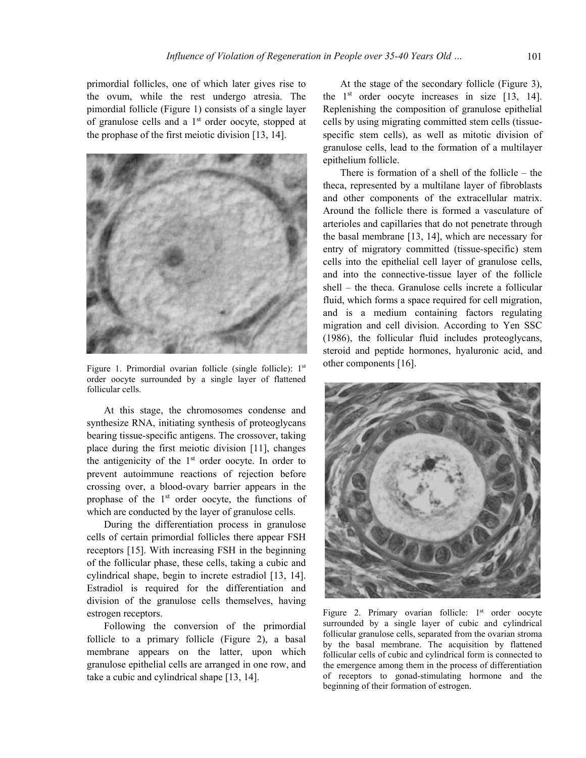primordial follicles, one of which later gives rise to the ovum, while the rest undergo atresia. The pimordial follicle (Figure 1) consists of a single layer of granulose cells and a  $1<sup>st</sup>$  order oocyte, stopped at the prophase of the first meiotic division [13, 14].



Figure 1. Primordial ovarian follicle (single follicle): 1<sup>st</sup> order oocyte surrounded by a single layer of flattened follicular cells.

At this stage, the chromosomes condense and synthesize RNA, initiating synthesis of proteoglycans bearing tissue-specific antigens. The crossover, taking place during the first meiotic division [11], changes the antigenicity of the  $1<sup>st</sup>$  order oocyte. In order to prevent autoimmune reactions of rejection before crossing over, a blood-ovary barrier appears in the prophase of the  $1<sup>st</sup>$  order oocyte, the functions of which are conducted by the layer of granulose cells.

During the differentiation process in granulose cells of certain primordial follicles there appear FSH receptors [15]. With increasing FSH in the beginning of the follicular phase, these cells, taking a cubic and cylindrical shape, begin to increte estradiol [13, 14]. Estradiol is required for the differentiation and division of the granulose cells themselves, having estrogen receptors.

Following the conversion of the primordial follicle to a primary follicle (Figure 2), a basal membrane appears on the latter, upon which granulose epithelial cells are arranged in one row, and take a cubic and cylindrical shape [13, 14].

At the stage of the secondary follicle (Figure 3), the 1st order oocyte increases in size [13, 14]. Replenishing the composition of granulose epithelial cells by using migrating committed stem cells (tissuespecific stem cells), as well as mitotic division of granulose cells, lead to the formation of a multilayer epithelium follicle.

There is formation of a shell of the follicle – the theca, represented by a multilane layer of fibroblasts and other components of the extracellular matrix. Around the follicle there is formed a vasculature of arterioles and capillaries that do not penetrate through the basal membrane [13, 14], which are necessary for entry of migratory committed (tissue-specific) stem cells into the epithelial cell layer of granulose cells, and into the connective-tissue layer of the follicle shell – the theca. Granulose cells increte a follicular fluid, which forms a space required for cell migration, and is a medium containing factors regulating migration and cell division. According to Yen SSC (1986), the follicular fluid includes proteoglycans, steroid and peptide hormones, hyaluronic acid, and other components [16].



Figure 2. Primary ovarian follicle: 1<sup>st</sup> order oocyte surrounded by a single layer of cubic and cylindrical follicular granulose cells, separated from the ovarian stroma by the basal membrane. The acquisition by flattened follicular cells of cubic and cylindrical form is connected to the emergence among them in the process of differentiation of receptors to gonad-stimulating hormone and the beginning of their formation of estrogen.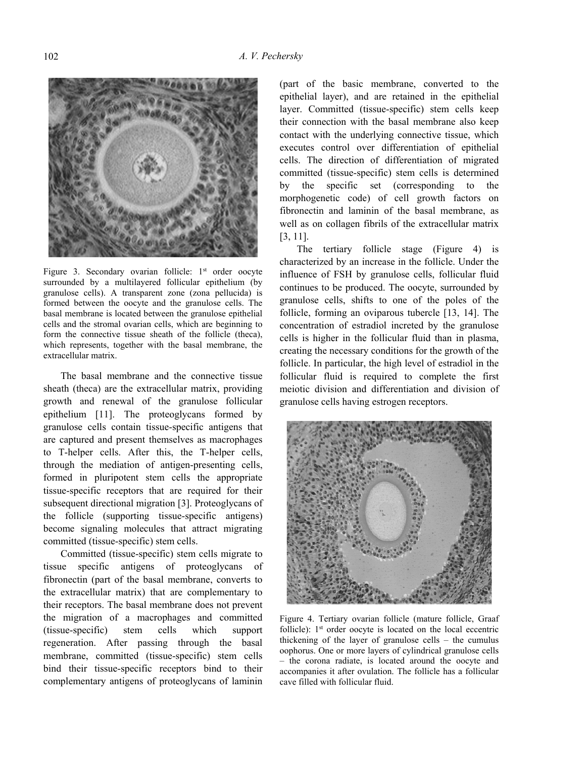

Figure 3. Secondary ovarian follicle: 1<sup>st</sup> order oocyte surrounded by a multilayered follicular epithelium (by granulose cells). A transparent zone (zona pellucida) is formed between the oocyte and the granulose cells. The basal membrane is located between the granulose epithelial cells and the stromal ovarian cells, which are beginning to form the connective tissue sheath of the follicle (theca), which represents, together with the basal membrane, the extracellular matrix.

The basal membrane and the connective tissue sheath (theca) are the extracellular matrix, providing growth and renewal of the granulose follicular epithelium [11]. The proteoglycans formed by granulose cells contain tissue-specific antigens that are captured and present themselves as macrophages to T-helper cells. After this, the T-helper cells, through the mediation of antigen-presenting cells, formed in pluripotent stem cells the appropriate tissue-specific receptors that are required for their subsequent directional migration [3]. Proteoglycans of the follicle (supporting tissue-specific antigens) become signaling molecules that attract migrating committed (tissue-specific) stem cells.

Committed (tissue-specific) stem cells migrate to tissue specific antigens of proteoglycans of fibronectin (part of the basal membrane, converts to the extracellular matrix) that are complementary to their receptors. The basal membrane does not prevent the migration of a macrophages and committed (tissue-specific) stem cells which support regeneration. After passing through the basal membrane, committed (tissue-specific) stem cells bind their tissue-specific receptors bind to their complementary antigens of proteoglycans of laminin (part of the basic membrane, converted to the epithelial layer), and are retained in the epithelial layer. Committed (tissue-specific) stem cells keep their connection with the basal membrane also keep contact with the underlying connective tissue, which executes control over differentiation of epithelial cells. The direction of differentiation of migrated committed (tissue-specific) stem cells is determined by the specific set (corresponding to the morphogenetic code) of cell growth factors on fibronectin and laminin of the basal membrane, as well as on collagen fibrils of the extracellular matrix [3, 11].

The tertiary follicle stage (Figure 4) is characterized by an increase in the follicle. Under the influence of FSH by granulose cells, follicular fluid continues to be produced. The oocyte, surrounded by granulose cells, shifts to one of the poles of the follicle, forming an oviparous tubercle [13, 14]. The concentration of estradiol increted by the granulose cells is higher in the follicular fluid than in plasma, creating the necessary conditions for the growth of the follicle. In particular, the high level of estradiol in the follicular fluid is required to complete the first meiotic division and differentiation and division of granulose cells having estrogen receptors.



Figure 4. Tertiary ovarian follicle (mature follicle, Graaf follicle): 1<sup>st</sup> order oocyte is located on the local eccentric thickening of the layer of granulose cells – the cumulus oophorus. One or more layers of cylindrical granulose cells – the corona radiate, is located around the oocyte and accompanies it after ovulation. The follicle has a follicular cave filled with follicular fluid.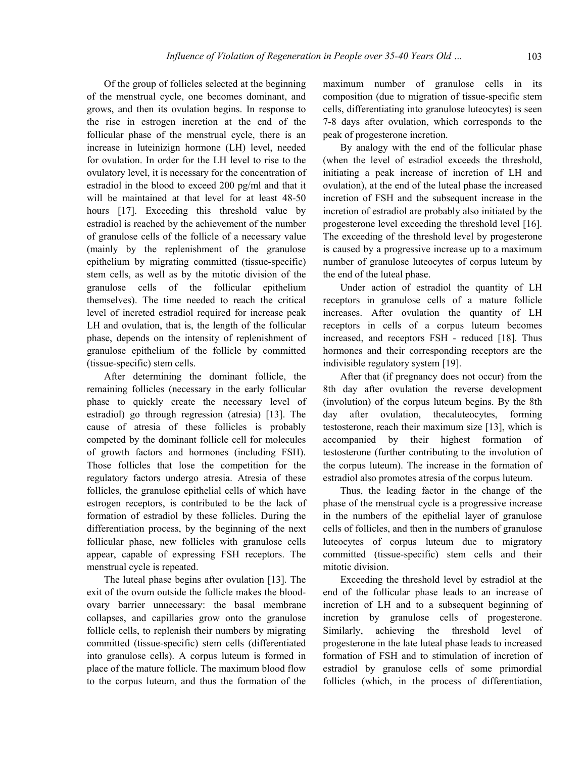Of the group of follicles selected at the beginning of the menstrual cycle, one becomes dominant, and grows, and then its ovulation begins. In response to the rise in estrogen incretion at the end of the follicular phase of the menstrual cycle, there is an increase in luteinizign hormone (LH) level, needed for ovulation. In order for the LH level to rise to the ovulatory level, it is necessary for the concentration of estradiol in the blood to exceed 200 pg/ml and that it will be maintained at that level for at least 48-50 hours [17]. Exceeding this threshold value by estradiol is reached by the achievement of the number of granulose cells of the follicle of a necessary value (mainly by the replenishment of the granulose epithelium by migrating committed (tissue-specific) stem cells, as well as by the mitotic division of the granulose cells of the follicular epithelium themselves). The time needed to reach the critical level of increted estradiol required for increase peak LH and ovulation, that is, the length of the follicular phase, depends on the intensity of replenishment of granulose epithelium of the follicle by committed (tissue-specific) stem cells.

After determining the dominant follicle, the remaining follicles (necessary in the early follicular phase to quickly create the necessary level of estradiol) go through regression (atresia) [13]. The cause of atresia of these follicles is probably competed by the dominant follicle cell for molecules of growth factors and hormones (including FSH). Those follicles that lose the competition for the regulatory factors undergo atresia. Atresia of these follicles, the granulose epithelial cells of which have estrogen receptors, is contributed to be the lack of formation of estradiol by these follicles. During the differentiation process, by the beginning of the next follicular phase, new follicles with granulose cells appear, capable of expressing FSH receptors. The menstrual cycle is repeated.

The luteal phase begins after ovulation [13]. The exit of the ovum outside the follicle makes the bloodovary barrier unnecessary: the basal membrane collapses, and capillaries grow onto the granulose follicle cells, to replenish their numbers by migrating committed (tissue-specific) stem cells (differentiated into granulose cells). A corpus luteum is formed in place of the mature follicle. The maximum blood flow to the corpus luteum, and thus the formation of the maximum number of granulose cells in its composition (due to migration of tissue-specific stem cells, differentiating into granulose luteocytes) is seen 7-8 days after ovulation, which corresponds to the peak of progesterone incretion.

By analogy with the end of the follicular phase (when the level of estradiol exceeds the threshold, initiating a peak increase of incretion of LH and ovulation), at the end of the luteal phase the increased incretion of FSH and the subsequent increase in the incretion of estradiol are probably also initiated by the progesterone level exceeding the threshold level [16]. The exceeding of the threshold level by progesterone is caused by a progressive increase up to a maximum number of granulose luteocytes of corpus luteum by the end of the luteal phase.

Under action of estradiol the quantity of LH receptors in granulose cells of a mature follicle increases. After ovulation the quantity of LH receptors in cells of a corpus luteum becomes increased, and receptors FSH - reduced [18]. Thus hormones and their corresponding receptors are the indivisible regulatory system [19].

After that (if pregnancy does not occur) from the 8th day after ovulation the reverse development (involution) of the corpus luteum begins. By the 8th day after ovulation, thecaluteocytes, forming testosterone, reach their maximum size [13], which is accompanied by their highest formation of testosterone (further contributing to the involution of the corpus luteum). The increase in the formation of estradiol also promotes atresia of the corpus luteum.

Thus, the leading factor in the change of the phase of the menstrual cycle is a progressive increase in the numbers of the epithelial layer of granulose cells of follicles, and then in the numbers of granulose luteocytes of corpus luteum due to migratory committed (tissue-specific) stem cells and their mitotic division.

Exceeding the threshold level by estradiol at the end of the follicular phase leads to an increase of incretion of LH and to a subsequent beginning of incretion by granulose cells of progesterone. Similarly, achieving the threshold level of progesterone in the late luteal phase leads to increased formation of FSH and to stimulation of incretion of estradiol by granulose cells of some primordial follicles (which, in the process of differentiation,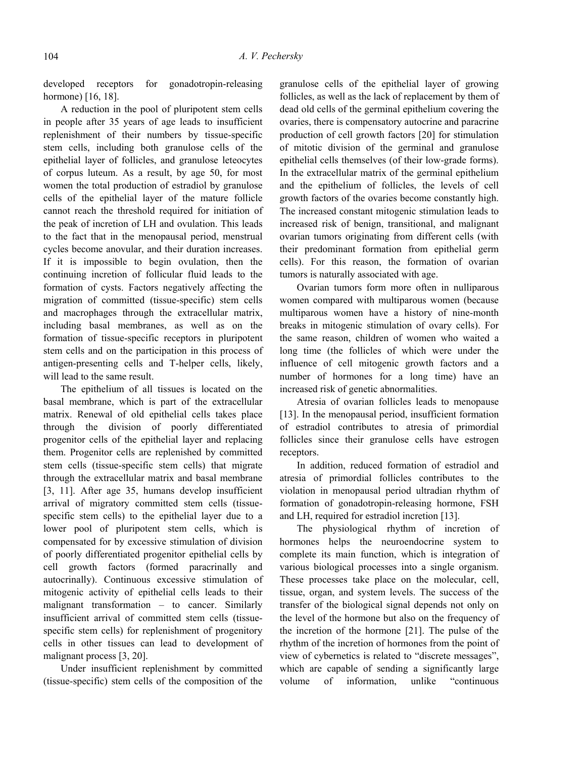developed receptors for gonadotropin-releasing hormone) [16, 18].

A reduction in the pool of pluripotent stem cells in people after 35 years of age leads to insufficient replenishment of their numbers by tissue-specific stem cells, including both granulose cells of the epithelial layer of follicles, and granulose leteocytes of corpus luteum. As a result, by age 50, for most women the total production of estradiol by granulose cells of the epithelial layer of the mature follicle cannot reach the threshold required for initiation of the peak of incretion of LH and ovulation. This leads to the fact that in the menopausal period, menstrual cycles become anovular, and their duration increases. If it is impossible to begin ovulation, then the continuing incretion of follicular fluid leads to the formation of cysts. Factors negatively affecting the migration of committed (tissue-specific) stem cells and macrophages through the extracellular matrix, including basal membranes, as well as on the formation of tissue-specific receptors in pluripotent stem cells and on the participation in this process of antigen-presenting cells and T-helper cells, likely, will lead to the same result.

The epithelium of all tissues is located on the basal membrane, which is part of the extracellular matrix. Renewal of old epithelial cells takes place through the division of poorly differentiated progenitor cells of the epithelial layer and replacing them. Progenitor cells are replenished by committed stem cells (tissue-specific stem cells) that migrate through the extracellular matrix and basal membrane [3, 11]. After age 35, humans develop insufficient arrival of migratory committed stem cells (tissuespecific stem cells) to the epithelial layer due to a lower pool of pluripotent stem cells, which is compensated for by excessive stimulation of division of poorly differentiated progenitor epithelial cells by cell growth factors (formed paracrinally and autocrinally). Continuous excessive stimulation of mitogenic activity of epithelial cells leads to their malignant transformation – to cancer. Similarly insufficient arrival of committed stem cells (tissuespecific stem cells) for replenishment of progenitory cells in other tissues can lead to development of malignant process [3, 20].

Under insufficient replenishment by committed (tissue-specific) stem cells of the composition of the granulose cells of the epithelial layer of growing follicles, as well as the lack of replacement by them of dead old cells of the germinal epithelium covering the ovaries, there is compensatory autocrine and paracrine production of cell growth factors [20] for stimulation of mitotic division of the germinal and granulose epithelial cells themselves (of their low-grade forms). In the extracellular matrix of the germinal epithelium and the epithelium of follicles, the levels of cell growth factors of the ovaries become constantly high. The increased constant mitogenic stimulation leads to increased risk of benign, transitional, and malignant ovarian tumors originating from different cells (with their predominant formation from epithelial germ cells). For this reason, the formation of ovarian tumors is naturally associated with age.

Ovarian tumors form more often in nulliparous women compared with multiparous women (because multiparous women have a history of nine-month breaks in mitogenic stimulation of ovary cells). For the same reason, children of women who waited a long time (the follicles of which were under the influence of cell mitogenic growth factors and a number of hormones for a long time) have an increased risk of genetic abnormalities.

Atresia of ovarian follicles leads to menopause [13]. In the menopausal period, insufficient formation of estradiol contributes to atresia of primordial follicles since their granulose cells have estrogen receptors.

In addition, reduced formation of estradiol and atresia of primordial follicles contributes to the violation in menopausal period ultradian rhythm of formation of gonadotropin-releasing hormone, FSH and LH, required for estradiol incretion [13].

The physiological rhythm of incretion of hormones helps the neuroendocrine system to complete its main function, which is integration of various biological processes into a single organism. These processes take place on the molecular, cell, tissue, organ, and system levels. The success of the transfer of the biological signal depends not only on the level of the hormone but also on the frequency of the incretion of the hormone [21]. The pulse of the rhythm of the incretion of hormones from the point of view of cybernetics is related to "discrete messages", which are capable of sending a significantly large volume of information, unlike "continuous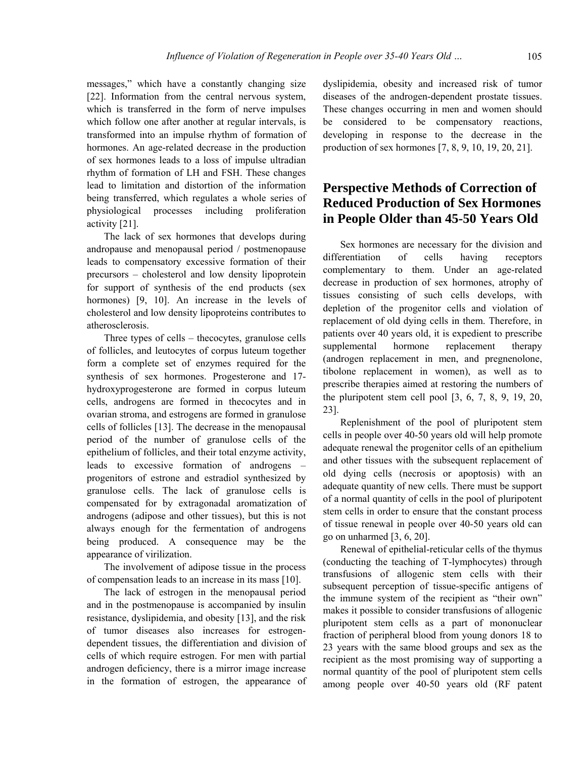messages," which have a constantly changing size [22]. Information from the central nervous system, which is transferred in the form of nerve impulses which follow one after another at regular intervals, is transformed into an impulse rhythm of formation of hormones. An age-related decrease in the production of sex hormones leads to a loss of impulse ultradian rhythm of formation of LH and FSH. These changes lead to limitation and distortion of the information being transferred, which regulates a whole series of physiological processes including proliferation activity [21].

The lack of sex hormones that develops during andropause and menopausal period / postmenopause leads to compensatory excessive formation of their precursors – cholesterol and low density lipoprotein for support of synthesis of the end products (sex hormones) [9, 10]. An increase in the levels of cholesterol and low density lipoproteins contributes to atherosclerosis.

Three types of cells – thecocytes, granulose cells of follicles, and leutocytes of corpus luteum together form a complete set of enzymes required for the synthesis of sex hormones. Progesterone and 17 hydroxyprogesterone are formed in corpus luteum cells, androgens are formed in thecocytes and in ovarian stroma, and estrogens are formed in granulose cells of follicles [13]. The decrease in the menopausal period of the number of granulose cells of the epithelium of follicles, and their total enzyme activity, leads to excessive formation of androgens – progenitors of estrone and estradiol synthesized by granulose cells. The lack of granulose cells is compensated for by extragonadal aromatization of androgens (adipose and other tissues), but this is not always enough for the fermentation of androgens being produced. A consequence may be the appearance of virilization.

The involvement of adipose tissue in the process of compensation leads to an increase in its mass [10].

The lack of estrogen in the menopausal period and in the postmenopause is accompanied by insulin resistance, dyslipidemia, and obesity [13], and the risk of tumor diseases also increases for estrogendependent tissues, the differentiation and division of cells of which require estrogen. For men with partial androgen deficiency, there is a mirror image increase in the formation of estrogen, the appearance of dyslipidemia, obesity and increased risk of tumor diseases of the androgen-dependent prostate tissues. These changes occurring in men and women should be considered to be compensatory reactions, developing in response to the decrease in the production of sex hormones [7, 8, 9, 10, 19, 20, 21].

### **Perspective Methods of Correction of Reduced Production of Sex Hormones in People Older than 45-50 Years Old**

Sex hormones are necessary for the division and differentiation of cells having receptors complementary to them. Under an age-related decrease in production of sex hormones, atrophy of tissues consisting of such cells develops, with depletion of the progenitor cells and violation of replacement of old dying cells in them. Therefore, in patients over 40 years old, it is expedient to prescribe supplemental hormone replacement therapy (androgen replacement in men, and pregnenolone, tibolone replacement in women), as well as to prescribe therapies aimed at restoring the numbers of the pluripotent stem cell pool [3, 6, 7, 8, 9, 19, 20, 23].

Replenishment of the pool of pluripotent stem cells in people over 40-50 years old will help promote adequate renewal the progenitor cells of an epithelium and other tissues with the subsequent replacement of old dying cells (necrosis or apoptosis) with an adequate quantity of new cells. There must be support of a normal quantity of cells in the pool of pluripotent stem cells in order to ensure that the constant process of tissue renewal in people over 40-50 years old can go on unharmed [3, 6, 20].

Renewal of epithelial-reticular cells of the thymus (conducting the teaching of T-lymphocytes) through transfusions of allogenic stem cells with their subsequent perception of tissue-specific antigens of the immune system of the recipient as "their own" makes it possible to consider transfusions of allogenic pluripotent stem cells as a part of mononuclear fraction of peripheral blood from young donors 18 to 23 years with the same blood groups and sex as the recipient as the most promising way of supporting a normal quantity of the pool of pluripotent stem cells among people over 40-50 years old (RF patent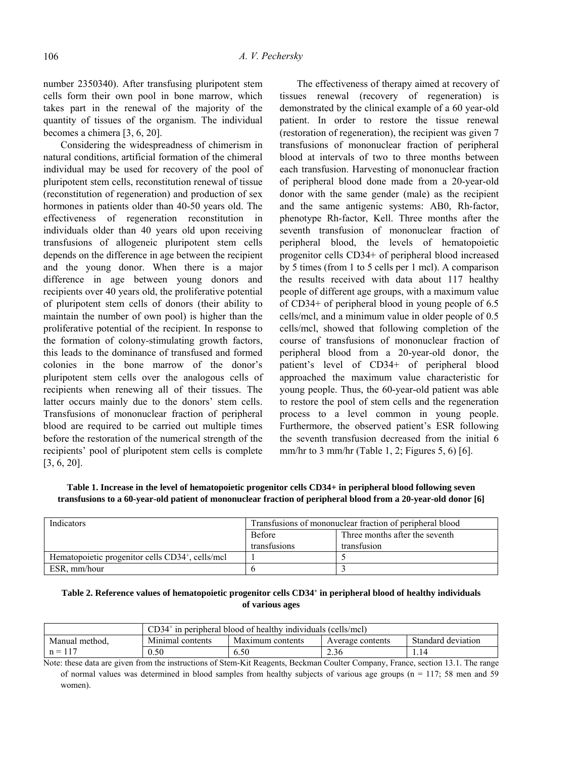number 2350340). After transfusing pluripotent stem cells form their own pool in bone marrow, which takes part in the renewal of the majority of the quantity of tissues of the organism. The individual becomes a chimera [3, 6, 20].

Considering the widespreadness of chimerism in natural conditions, artificial formation of the chimeral individual may be used for recovery of the pool of pluripotent stem cells, reconstitution renewal of tissue (reconstitution of regeneration) and production of sex hormones in patients older than 40-50 years old. The effectiveness of regeneration reconstitution in individuals older than 40 years old upon receiving transfusions of allogeneic pluripotent stem cells depends on the difference in age between the recipient and the young donor. When there is a major difference in age between young donors and recipients over 40 years old, the proliferative potential of pluripotent stem cells of donors (their ability to maintain the number of own pool) is higher than the proliferative potential of the recipient. In response to the formation of colony-stimulating growth factors, this leads to the dominance of transfused and formed colonies in the bone marrow of the donor's pluripotent stem cells over the analogous cells of recipients when renewing all of their tissues. The latter occurs mainly due to the donors' stem cells. Transfusions of mononuclear fraction of peripheral blood are required to be carried out multiple times before the restoration of the numerical strength of the recipients' pool of pluripotent stem cells is complete [3, 6, 20].

The effectiveness of therapy aimed at recovery of tissues renewal (recovery of regeneration) is demonstrated by the clinical example of a 60 year-old patient. In order to restore the tissue renewal (restoration of regeneration), the recipient was given 7 transfusions of mononuclear fraction of peripheral blood at intervals of two to three months between each transfusion. Harvesting of mononuclear fraction of peripheral blood done made from a 20-year-old donor with the same gender (male) as the recipient and the same antigenic systems: АВ0, Rh-factor, phenotype Rh-factor, Kell. Three months after the seventh transfusion of mononuclear fraction of peripheral blood, the levels of hematopoietic progenitor cells CD34+ of peripheral blood increased by 5 times (from 1 to 5 cells per 1 mcl). A comparison the results received with data about 117 healthy people of different age groups, with a maximum value of CD34+ of peripheral blood in young people of 6.5 cells/mcl, and a minimum value in older people of 0.5 cells/mcl, showed that following completion of the course of transfusions of mononuclear fraction of peripheral blood from a 20-year-old donor, the patient's level of CD34+ of peripheral blood approached the maximum value characteristic for young people. Thus, the 60-year-old patient was able to restore the pool of stem cells and the regeneration process to a level common in young people. Furthermore, the observed patient's ESR following the seventh transfusion decreased from the initial 6 mm/hr to 3 mm/hr (Table 1, 2; Figures 5, 6) [6].

**Table 1. Increase in the level of hematopoietic progenitor cells CD34+ in peripheral blood following seven transfusions to a 60-year-old patient of mononuclear fraction of peripheral blood from a 20-year-old donor [6]** 

| Indicators                                                   | Transfusions of mononuclear fraction of peripheral blood |                                |  |
|--------------------------------------------------------------|----------------------------------------------------------|--------------------------------|--|
|                                                              | <b>Before</b>                                            | Three months after the seventh |  |
|                                                              | transfusions                                             | transfusion                    |  |
| Hematopoietic progenitor cells CD34 <sup>+</sup> , cells/mcl |                                                          |                                |  |
| ESR. mm/hour                                                 |                                                          |                                |  |

#### **Table 2. Reference values of hematopoietic progenitor cells CD34+ in peripheral blood of healthy individuals of various ages**

|                | CD34†<br><sup>+</sup> in peripheral blood of healthy individuals (cells/mcl) |                  |                  |                    |  |
|----------------|------------------------------------------------------------------------------|------------------|------------------|--------------------|--|
| Manual method. | Minimal contents                                                             | Maximum contents | Average contents | Standard deviation |  |
| $n =$          | 0.50                                                                         | 6.50             | 2.36             | 1.14               |  |

Note: these data are given from the instructions of Stem-Kit Reagents, Beckman Coulter Company, France, section 13.1. The range of normal values was determined in blood samples from healthy subjects of various age groups ( $n = 117$ ; 58 men and 59 women).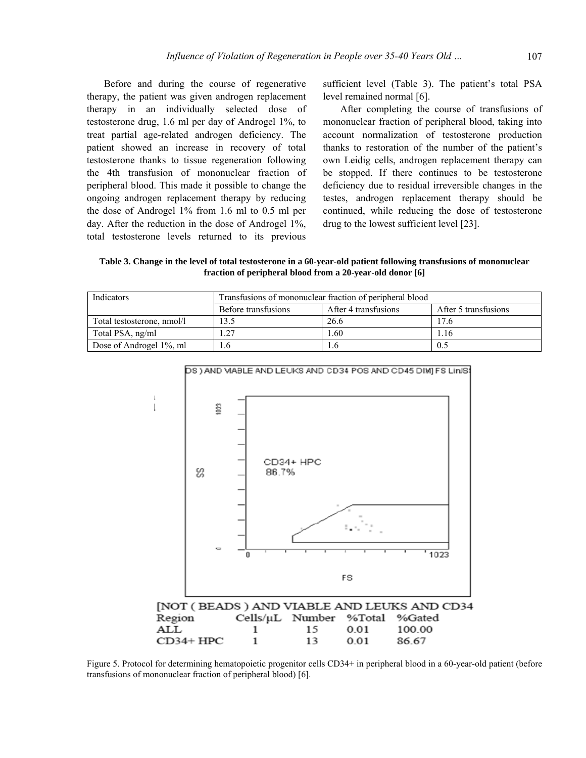Before and during the course of regenerative therapy, the patient was given androgen replacement therapy in an individually selected dose of testosterone drug, 1.6 ml per day of Androgel 1%, to treat partial age-related androgen deficiency. The patient showed an increase in recovery of total testosterone thanks to tissue regeneration following the 4th transfusion of mononuclear fraction of peripheral blood. This made it possible to change the ongoing androgen replacement therapy by reducing the dose of Androgel 1% from 1.6 ml to 0.5 ml per day. After the reduction in the dose of Androgel 1%, total testosterone levels returned to its previous

sufficient level (Table 3). The patient's total PSA level remained normal [6].

After completing the course of transfusions of mononuclear fraction of peripheral blood, taking into account normalization of testosterone production thanks to restoration of the number of the patient's own Leidig cells, androgen replacement therapy can be stopped. If there continues to be testosterone deficiency due to residual irreversible changes in the testes, androgen replacement therapy should be continued, while reducing the dose of testosterone drug to the lowest sufficient level [23].

**Table 3. Change in the level of total testosterone in a 60-year-old patient following transfusions of mononuclear fraction of peripheral blood from a 20-year-old donor [6]** 

| Indicators                 | Transfusions of mononuclear fraction of peripheral blood |                      |                      |  |  |
|----------------------------|----------------------------------------------------------|----------------------|----------------------|--|--|
|                            | Before transfusions                                      | After 4 transfusions | After 5 transfusions |  |  |
| Total testosterone, nmol/l | 13.5                                                     | 26.6                 | 17.6                 |  |  |
| Total PSA, ng/ml           |                                                          | 1.60                 | 1.16                 |  |  |
| Dose of Androgel 1\%, ml   |                                                          |                      | 0.5                  |  |  |



Figure 5. Protocol for determining hematopoietic progenitor cells CD34+ in peripheral blood in a 60-year-old patient (before transfusions of mononuclear fraction of peripheral blood) [6].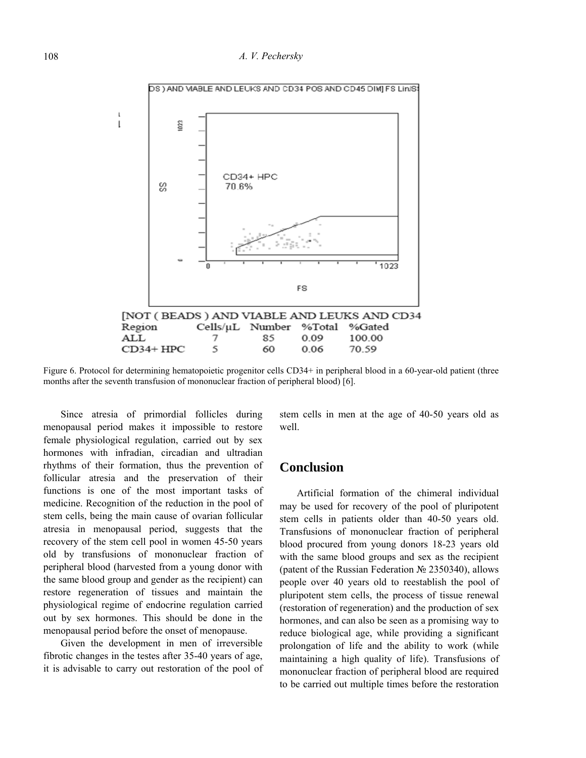108 *A. V. Pechersky* 



Figure 6. Protocol for determining hematopoietic progenitor cells CD34+ in peripheral blood in a 60-year-old patient (three months after the seventh transfusion of mononuclear fraction of peripheral blood) [6].

Since atresia of primordial follicles during menopausal period makes it impossible to restore female physiological regulation, carried out by sex hormones with infradian, circadian and ultradian rhythms of their formation, thus the prevention of follicular atresia and the preservation of their functions is one of the most important tasks of medicine. Recognition of the reduction in the pool of stem cells, being the main cause of ovarian follicular atresia in menopausal period, suggests that the recovery of the stem cell pool in women 45-50 years old by transfusions of mononuclear fraction of peripheral blood (harvested from a young donor with the same blood group and gender as the recipient) can restore regeneration of tissues and maintain the physiological regime of endocrine regulation carried out by sex hormones. This should be done in the menopausal period before the onset of menopause.

Given the development in men of irreversible fibrotic changes in the testes after 35-40 years of age, it is advisable to carry out restoration of the pool of stem cells in men at the age of 40-50 years old as well.

### **Conclusion**

Artificial formation of the chimeral individual may be used for recovery of the pool of pluripotent stem cells in patients older than 40-50 years old. Transfusions of mononuclear fraction of peripheral blood procured from young donors 18-23 years old with the same blood groups and sex as the recipient (patent of the Russian Federation № 2350340), allows people over 40 years old to reestablish the pool of pluripotent stem cells, the process of tissue renewal (restoration of regeneration) and the production of sex hormones, and can also be seen as a promising way to reduce biological age, while providing a significant prolongation of life and the ability to work (while maintaining a high quality of life). Transfusions of mononuclear fraction of peripheral blood are required to be carried out multiple times before the restoration